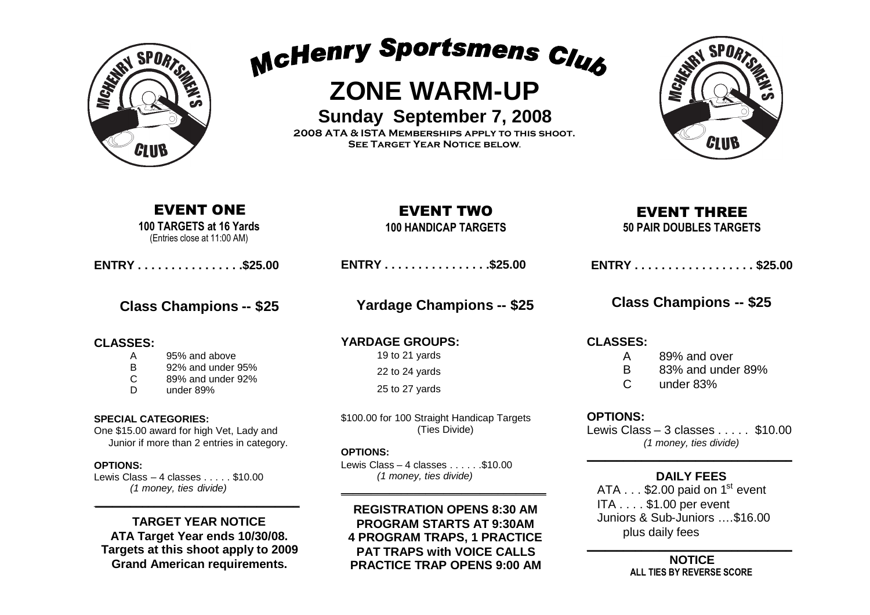

McHenry Sportsmens Club

# **ZONE WARM-UP**

**Sunday September 7, 2008**

**2008 ATA & ISTA Memberships apply to this shoot. See Target Year Notice below**.



## EVENT ONE

**100 TARGETS at 16 Yards** (Entries close at 11:00 AM)

**ENTRY . . . . . . . . . . . . . . . .\$25.00**

## **Class Champions -- \$25**

### **CLASSES:**

- A 95% and above
- B 92% and under 95%
- C 89% and under 92%
- D under 89%

#### **SPECIAL CATEGORIES:**

One \$15.00 award for high Vet, Lady and Junior if more than 2 entries in category.

#### **OPTIONS:**

Lewis Class  $-4$  classes  $\ldots$  . \$10.00 *(1 money, ties divide)*

**TARGET YEAR NOTICE ATA Target Year ends 10/30/08. Targets at this shoot apply to 2009 Grand American requirements.**

\_\_\_\_\_\_\_\_\_\_\_\_\_\_\_\_\_\_\_\_\_\_\_\_\_\_\_\_\_\_\_\_\_\_

**100 HANDICAP TARGETS**

**ENTRY . . . . . . . . . . . . . . . .\$25.00**

**Yardage Champions -- \$25**

**YARDAGE GROUPS:** 19 to 21 yards

22 to 24 yards

25 to 27 yards

\$100.00 for 100 Straight Handicap Targets (Ties Divide)

#### **OPTIONS:**

Lewis Class – 4 classes  $\dots$  . . . . . \$10.00 *(1 money, ties divide)*

#### **REGISTRATION OPENS 8:30 AM PROGRAM STARTS AT 9:30AM 4 PROGRAM TRAPS, 1 PRACTICE PAT TRAPS with VOICE CALLS**

\_\_\_\_\_\_\_\_\_\_\_\_\_\_\_\_\_\_\_\_\_\_\_\_\_\_\_\_\_\_\_\_\_\_

**PRACTICE TRAP OPENS 9:00 AM**

## EVENT THREE

**50 PAIR DOUBLES TARGETS**

## **Class Champions -- \$25**

**CLASSES:**

- A 89% and over B 83% and under 89%
- C under 83%

### **OPTIONS:**

Lewis Class – 3 classes  $\ldots$  \$10.00 *(1 money, ties divide)*  $\overline{\phantom{a}}$  , and the set of the set of the set of the set of the set of the set of the set of the set of the set of the set of the set of the set of the set of the set of the set of the set of the set of the set of the s

### **DAILY FEES**

ATA  $\dots$  \$2.00 paid on 1<sup>st</sup> event ITA . . . . \$1.00 per event Juniors & Sub-Juniors ….\$16.00 plus daily fees

\_\_\_\_\_\_\_\_\_\_\_\_\_\_\_\_\_\_\_\_\_\_\_\_\_\_\_\_\_\_\_\_\_\_ **NOTICE ALL TIES BY REVERSE SCORE**

## EVENT TWO